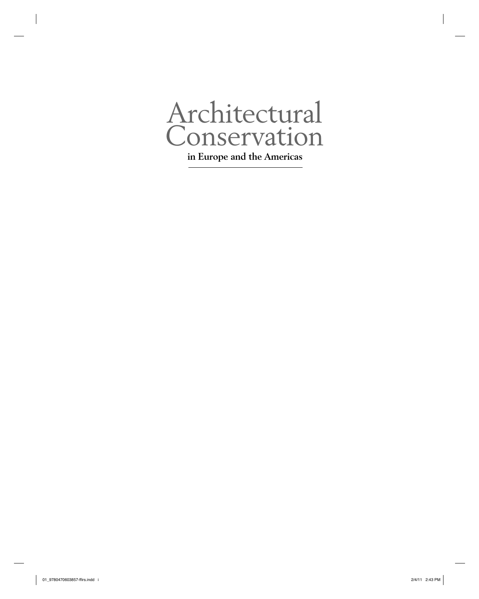

**in Europe and the Americas**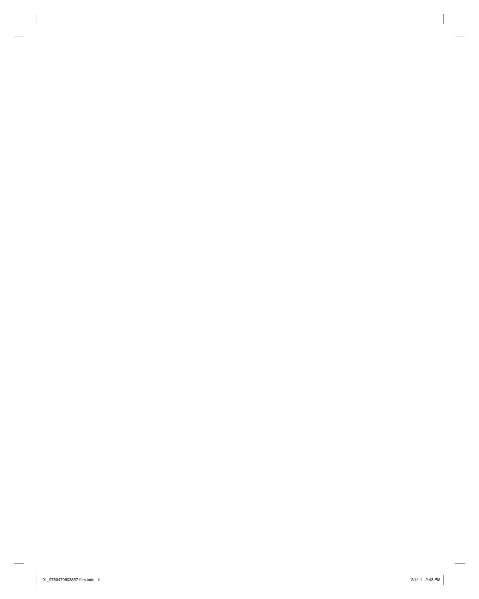$\begin{array}{c} \hline \end{array}$ 

 $\overline{\phantom{a}}$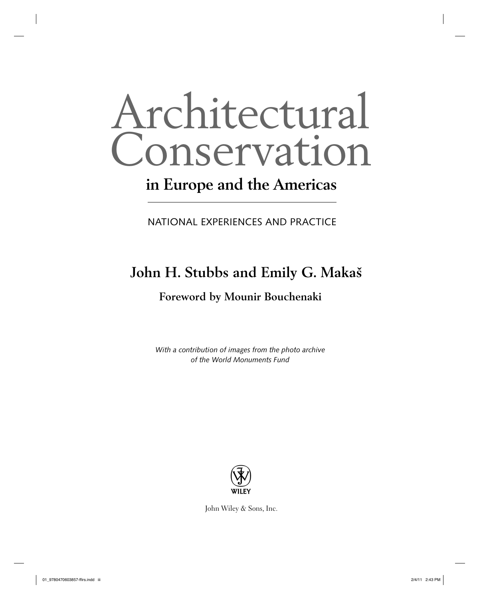# Architectural Conservation

## **in Europe and the Americas**

NATIONAL EXPERIENCES AND PRACTICE

## John H. Stubbs and Emily G. Makaš

### **Foreword by Mounir Bouchenaki**

*With a contribution of images from the photo archive of the World Monuments Fund*



John Wiley & Sons, Inc.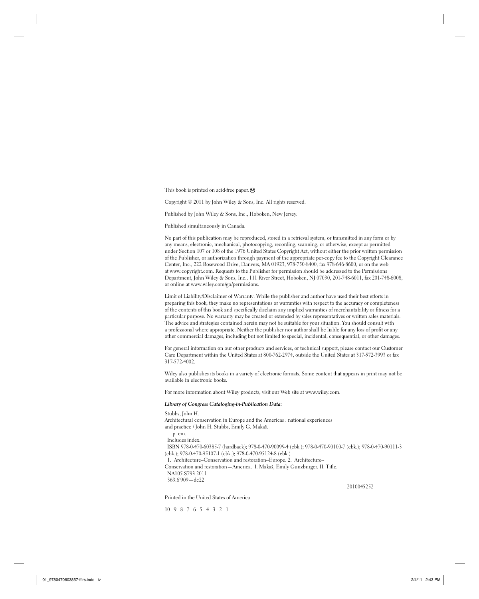This book is printed on acid-free paper.

Copyright © 2011 by John Wiley & Sons, Inc. All rights reserved.

Published by John Wiley & Sons, Inc., Hoboken, New Jersey.

Published simultaneously in Canada.

No part of this publication may be reproduced, stored in a retrieval system, or transmitted in any form or by any means, electronic, mechanical, photocopying, recording, scanning, or otherwise, except as permitted under Section 107 or 108 of the 1976 United States Copyright Act, without either the prior written permission of the Publisher, or authorization through payment of the appropriate per-copy fee to the Copyright Clearance Center, Inc., 222 Rosewood Drive, Danvers, MA 01923, 978-750-8400, fax 978-646-8600, or on the web at www.copyright.com. Requests to the Publisher for permission should be addressed to the Permissions Department, John Wiley & Sons, Inc., 111 River Street, Hoboken, NJ 07030, 201-748-6011, fax 201-748-6008, or online at www.wiley.com/go/permissions.

Limit of Liability/Disclaimer of Warranty: While the publisher and author have used their best efforts in preparing this book, they make no representations or warranties with respect to the accuracy or completeness of the contents of this book and specifically disclaim any implied warranties of merchantability or fitness for a particular purpose. No warranty may be created or extended by sales representatives or written sales materials. The advice and strategies contained herein may not be suitable for your situation. You should consult with a professional where appropriate. Neither the publisher nor author shall be liable for any loss of profit or any other commercial damages, including but not limited to special, incidental, consequential, or other damages.

For general information on our other products and services, or technical support, please contact our Customer Care Department within the United States at 800-762-2974, outside the United States at 317-572-3993 or fax 317-572-4002.

Wiley also publishes its books in a variety of electronic formats. Some content that appears in print may not be available in electronic books.

For more information about Wiley products, visit our Web site at www.wiley.com.

#### *Library of Congress Cataloging-in-Publication Data:*

Stubbs, John H. Architectural conservation in Europe and the Americas : national experiences and practice / John H. Stubbs, Emily G. Makaš. p. cm. Includes index. ISBN 978-0-470-60385-7 (hardback); 978-0-470-90099-4 (ebk.); 978-0-470-90100-7 (ebk.); 978-0-470-90111-3 (ebk.); 978-0-470-95107-1 (ebk.); 978-0-470-95124-8 (ebk.) 1. Architecture--Conservation and restoration--Europe. 2. Architecture-- Conservation and restoration—America. I. Makaš, Emily Gunzburger. II. Title. NA105.S793 2011 363.6'909—dc22 2010045252

Printed in the United States of America

10 9 8 7 6 5 4 3 2 1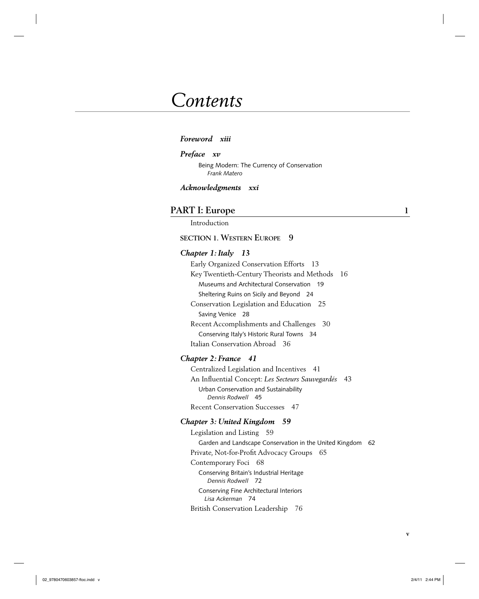## *Contents*

#### *Foreword xiii*

#### *Preface xv*

Being Modern: The Currency of Conservation  *Frank Matero*

#### *Acknowledgments xxi*

#### **PART I: Europe 1**

Introduction

#### **SECTION 1. WESTERN EUROPE 9**

#### *Chapter 1: Italy 13*

Early Organized Conservation Efforts 13 Key Twentieth-Century Theorists and Methods 16 Museums and Architectural Conservation 19 Sheltering Ruins on Sicily and Beyond 24 Conservation Legislation and Education 25 Saving Venice 28 Recent Accomplishments and Challenges 30 Conserving Italy's Historic Rural Towns 34 Italian Conservation Abroad 36

#### *Chapter 2: France 41*

Centralized Legislation and Incentives 41 An Influential Concept: Les Secteurs Sauvegardés 43 Urban Conservation and Sustainability  *Dennis Rodwell* 45 Recent Conservation Successes 47

#### *Chapter 3: United Kingdom 59*

Legislation and Listing 59 Garden and Landscape Conservation in the United Kingdom 62 Private, Not-for-Profit Advocacy Groups 65 Contemporary Foci 68 Conserving Britain's Industrial Heritage  *Dennis Rodwell* 72 Conserving Fine Architectural Interiors  *Lisa Ackerman* 74 British Conservation Leadership 76

**v**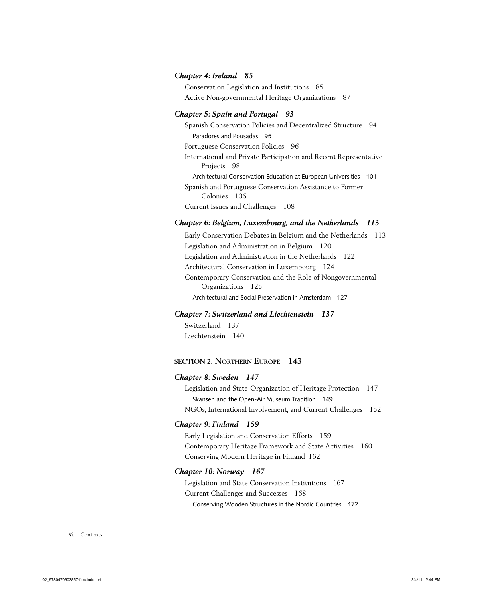#### *Chapter 4: Ireland 85*

Conservation Legislation and Institutions 85 Active Non-governmental Heritage Organizations 87

#### *Chapter 5: Spain and Portugal 93*

Spanish Conservation Policies and Decentralized Structure 94 Paradores and Pousadas 95 Portuguese Conservation Policies 96 International and Private Participation and Recent Representative Projects 98 Architectural Conservation Education at European Universities 101 Spanish and Portuguese Conservation Assistance to Former Colonies 106 Current Issues and Challenges 108

#### *Chapter 6: Belgium, Luxembourg, and the Netherlands 113*

Early Conservation Debates in Belgium and the Netherlands 113 Legislation and Administration in Belgium 120 Legislation and Administration in the Netherlands 122 Architectural Conservation in Luxembourg 124 Contemporary Conservation and the Role of Nongovernmental Organizations 125 Architectural and Social Preservation in Amsterdam 127

#### *Chapter 7: Switzerland and Liechtenstein 137*

Switzerland 137 Liechtenstein 140

#### **SECTION 2. NORTHERN EUROPE 143**

#### *Chapter 8: Sweden 147*

Legislation and State-Organization of Heritage Protection 147 Skansen and the Open-Air Museum Tradition 149 NGOs, International Involvement, and Current Challenges 152

#### *Chapter 9: Finland 159*

Early Legislation and Conservation Efforts 159 Contemporary Heritage Framework and State Activities 160 Conserving Modern Heritage in Finland 162

#### *Chapter 10: Norway 167*

Legislation and State Conservation Institutions 167 Current Challenges and Successes 168 Conserving Wooden Structures in the Nordic Countries 172

**vi** Contents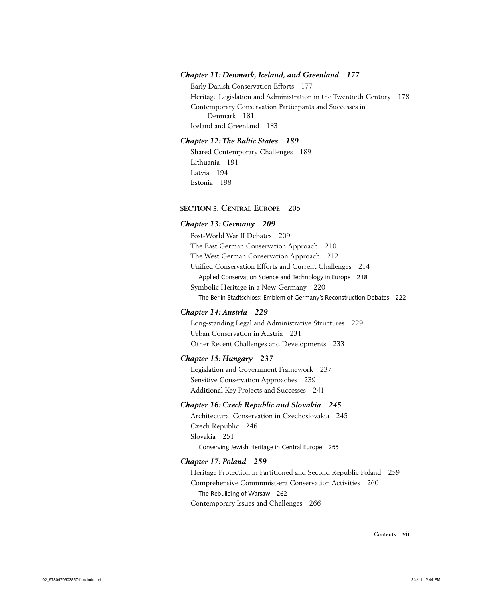#### *Chapter 11: Denmark, Iceland, and Greenland 177*

Early Danish Conservation Efforts 177 Heritage Legislation and Administration in the Twentieth Century 178 Contemporary Conservation Participants and Successes in Denmark 181 Iceland and Greenland 183

#### *Chapter 12: The Baltic States 189*

Shared Contemporary Challenges 189 Lithuania 191 Latvia 194 Estonia 198

#### **SECTION 3. CENTRAL EUROPE 205**

#### *Chapter 13: Germany 209*

Post-World War II Debates 209 The East German Conservation Approach 210 The West German Conservation Approach 212 Unified Conservation Efforts and Current Challenges 214 Applied Conservation Science and Technology in Europe 218 Symbolic Heritage in a New Germany 220 The Berlin Stadtschloss: Emblem of Germany's Reconstruction Debates 222

#### *Chapter 14: Austria 229*

Long-standing Legal and Administrative Structures 229 Urban Conservation in Austria 231 Other Recent Challenges and Developments 233

#### *Chapter 15: Hungary 237*

Legislation and Government Framework 237 Sensitive Conservation Approaches 239 Additional Key Projects and Successes 241

#### *Chapter 16: Czech Republic and Slovakia 245*

Architectural Conservation in Czechoslovakia 245 Czech Republic 246 Slovakia 251 Conserving Jewish Heritage in Central Europe 255

#### *Chapter 17: Poland 259*

Heritage Protection in Partitioned and Second Republic Poland 259 Comprehensive Communist-era Conservation Activities 260 The Rebuilding of Warsaw 262 Contemporary Issues and Challenges 266

Contents **vii**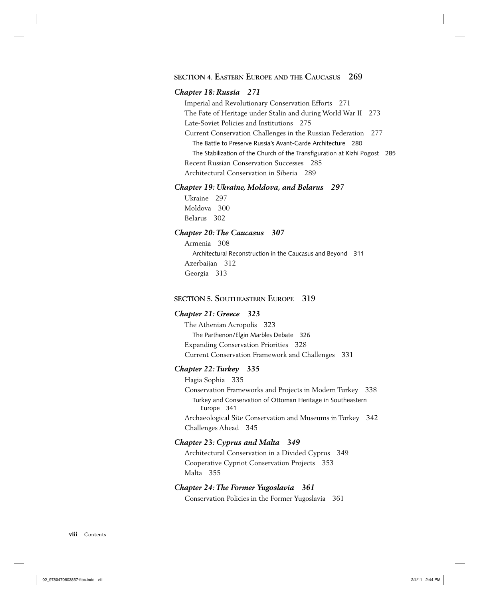#### **SECTION 4. EASTERN EUROPE AND THE CAUCASUS 269**

#### *Chapter 18: Russia 271*

Imperial and Revolutionary Conservation Efforts 271 The Fate of Heritage under Stalin and during World War II 273 Late-Soviet Policies and Institutions 275 Current Conservation Challenges in the Russian Federation 277 The Battle to Preserve Russia's Avant-Garde Architecture 280 The Stabilization of the Church of the Transfiguration at Kizhi Pogost 285 Recent Russian Conservation Successes 285 Architectural Conservation in Siberia 289

#### *Chapter 19: Ukraine, Moldova, and Belarus 297*

Ukraine 297 Moldova 300 Belarus 302

#### *Chapter 20: The Caucasus 307*

Armenia 308 Architectural Reconstruction in the Caucasus and Beyond 311 Azerbaijan 312 Georgia 313

#### **SECTION 5. SOUTHEASTERN EUROPE 319**

#### *Chapter 21: Greece 323*

The Athenian Acropolis 323 The Parthenon/Elgin Marbles Debate 326 Expanding Conservation Priorities 328 Current Conservation Framework and Challenges 331

#### *Chapter 22: Turkey 335*

Hagia Sophia 335 Conservation Frameworks and Projects in Modern Turkey 338 Turkey and Conservation of Ottoman Heritage in Southeastern Europe 341

Archaeological Site Conservation and Museums in Turkey 342 Challenges Ahead 345

#### *Chapter 23: Cyprus and Malta 349*

Architectural Conservation in a Divided Cyprus 349 Cooperative Cypriot Conservation Projects 353 Malta 355

#### *Chapter 24: The Former Yugoslavia 361*

Conservation Policies in the Former Yugoslavia 361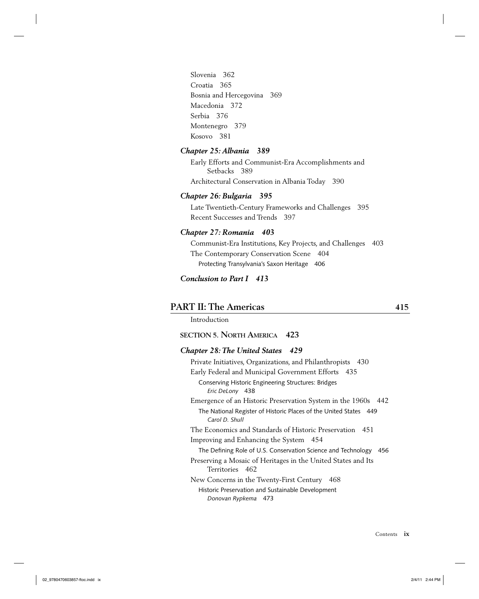Slovenia 362 Croatia 365 Bosnia and Hercegovina 369 Macedonia 372 Serbia 376 Montenegro 379 Kosovo 381

#### *Chapter 25: Albania 389*

Early Efforts and Communist-Era Accomplishments and Setbacks 389 Architectural Conservation in Albania Today 390

#### *Chapter 26: Bulgaria 395*

Late Twentieth-Century Frameworks and Challenges 395 Recent Successes and Trends 397

#### *Chapter 27: Romania 403*

Communist-Era Institutions, Key Projects, and Challenges 403 The Contemporary Conservation Scene 404 Protecting Transylvania's Saxon Heritage 406

*Conclusion to Part I 413*

#### **PART II: The Americas** 415

#### Introduction

#### **SECTION 5. NORTH AMERICA 423**

#### *Chapter 28: The United States 429*

Private Initiatives, Organizations, and Philanthropists 430 Early Federal and Municipal Government Efforts 435 Conserving Historic Engineering Structures: Bridges  *Eric DeLony* 438 Emergence of an Historic Preservation System in the 1960s 442 The National Register of Historic Places of the United States 449  *Carol D. Shull* The Economics and Standards of Historic Preservation 451 Improving and Enhancing the System 454 The Defining Role of U.S. Conservation Science and Technology 456 Preserving a Mosaic of Heritages in the United States and Its Territories 462 New Concerns in the Twenty-First Century 468 Historic Preservation and Sustainable Development

 *Donovan Rypkema* 473

Contents **ix**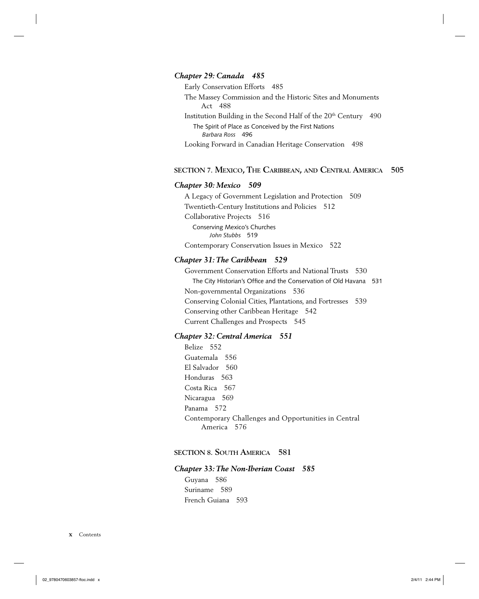#### *Chapter 29: Canada 485*

Early Conservation Efforts 485

The Massey Commission and the Historic Sites and Monuments Act 488

Institution Building in the Second Half of the 20<sup>th</sup> Century 490 The Spirit of Place as Conceived by the First Nations

 *Barbara Ross* 496

Looking Forward in Canadian Heritage Conservation 498

#### **SECTION 7. MEXICO, THE CARIBBEAN, AND CENTRAL AMERICA 505**

#### *Chapter 30: Mexico 509*

A Legacy of Government Legislation and Protection 509 Twentieth-Century Institutions and Policies 512 Collaborative Projects 516 Conserving Mexico's Churches  *John Stubbs* 519 Contemporary Conservation Issues in Mexico 522

#### *Chapter 31: The Caribbean 529*

Government Conservation Efforts and National Trusts 530 The City Historian's Office and the Conservation of Old Havana 531 Non-governmental Organizations 536 Conserving Colonial Cities, Plantations, and Fortresses 539 Conserving other Caribbean Heritage 542 Current Challenges and Prospects 545

#### *Chapter 32: Central America 551*

Belize 552 Guatemala 556 El Salvador 560 Honduras 563 Costa Rica 567 Nicaragua 569 Panama 572 Contemporary Challenges and Opportunities in Central America 576

#### **SECTION 8. SOUTH AMERICA 581**

#### *Chapter 33: The Non-Iberian Coast 585*

Guyana 586 Suriname 589 French Guiana 593

**x** Contents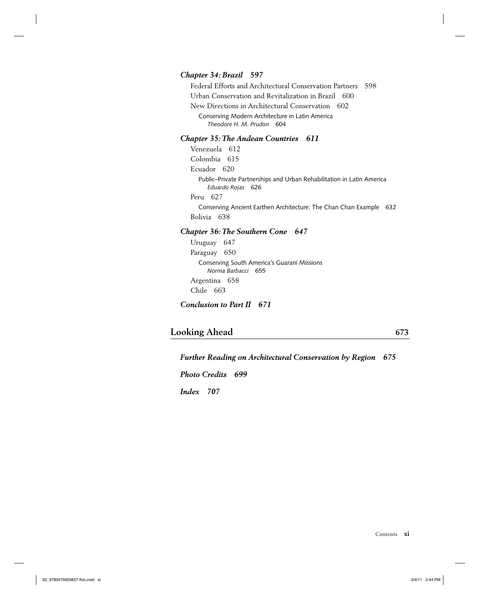#### *Chapter 34: Brazil 597*

Federal Efforts and Architectural Conservation Partners 598 Urban Conservation and Revitalization in Brazil 600 New Directions in Architectural Conservation 602 Conserving Modern Architecture in Latin America  *Theodore H. M. Prudon* 604

#### *Chapter 35: The Andean Countries 611*

Venezuela 612 Colombia 615 Ecuador 620 Public–Private Partnerships and Urban Rehabilitation in Latin America  *Eduardo Rojas* 626 Peru 627 Conserving Ancient Earthen Architecture: The Chan Chan Example 632 Bolivia 638

#### *Chapter 36: The Southern Cone 647*

Uruguay 647 Paraguay 650 Conserving South America's Guaraní Missions  *Norma Barbacci* 655 Argentina 658 Chile 663

*Conclusion to Part II 671*

#### Looking Ahead 673

*Further Reading on Architectural Conservation by Region 675*

*Photo Credits 699*

*Index 707*

Contents **xi**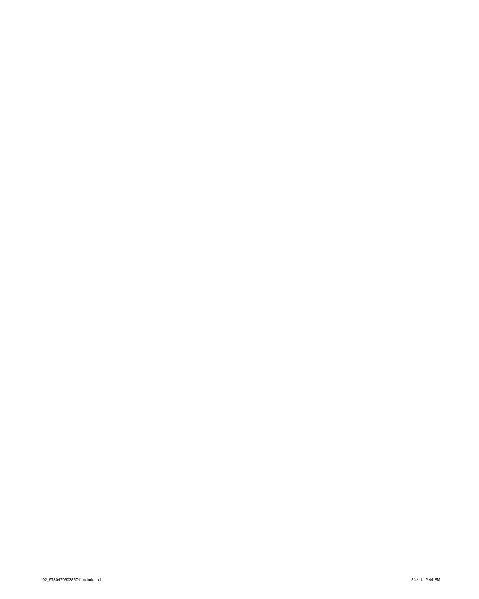$\begin{array}{c} \hline \end{array}$ 

 $\overline{\phantom{a}}$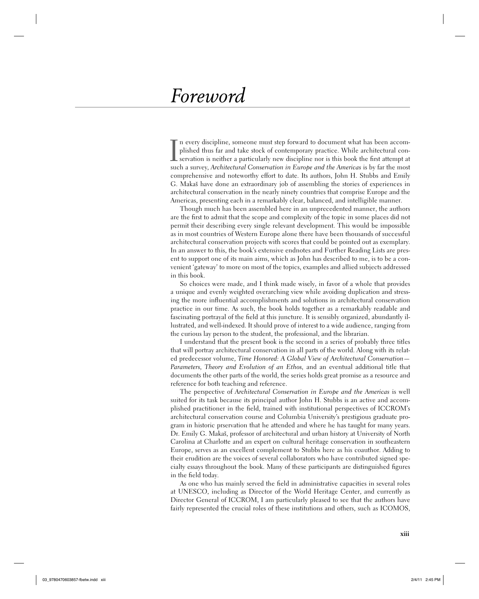## *Foreword*

In every discipline, someone must step forward to document what has been accomplished thus far and take stock of contemporary practice. While architectural conservation is neither a particularly new discipline nor is this n every discipline, someone must step forward to document what has been accomplished thus far and take stock of contemporary practice. While architectural conservation is neither a particularly new discipline nor is this book the first attempt at comprehensive and noteworthy effort to date. Its authors, John H. Stubbs and Emily G. Makaš have done an extraordinary job of assembling the stories of experiences in architectural conservation in the nearly ninety countries that comprise Europe and the Americas, presenting each in a remarkably clear, balanced, and intelligible manner.

Though much has been assembled here in an unprecedented manner, the authors are the first to admit that the scope and complexity of the topic in some places did not permit their describing every single relevant development. This would be impossible as in most countries of Western Europe alone there have been thousands of successful architectural conservation projects with scores that could be pointed out as exemplary. In an answer to this, the book's extensive endnotes and Further Reading Lists are present to support one of its main aims, which as John has described to me, is to be a convenient 'gateway' to more on most of the topics, examples and allied subjects addressed in this book.

So choices were made, and I think made wisely, in favor of a whole that provides a unique and evenly weighted overarching view while avoiding duplication and stressing the more influential accomplishments and solutions in architectural conservation practice in our time. As such, the book holds together as a remarkably readable and fascinating portrayal of the field at this juncture. It is sensibly organized, abundantly illustrated, and well-indexed. It should prove of interest to a wide audience, ranging from the curious lay person to the student, the professional, and the librarian.

I understand that the present book is the second in a series of probably three titles that will portray architectural conservation in all parts of the world. Along with its related predecessor volume, *Time Honored: A Global View of Architectural Conservation*— *Parameters, Theory and Evolution of an Ethos,* and an eventual additional title that documents the other parts of the world, the series holds great promise as a resource and reference for both teaching and reference.

The perspective of *Architectural Conservation in Europe and the Americas* is well suited for its task because its principal author John H. Stubbs is an active and accomplished practitioner in the field, trained with institutional perspectives of ICCROM's architectural conservation course and Columbia University's prestigious graduate program in historic prservation that he attended and where he has taught for many years. Dr. Emily G. Makaš, professor of architectural and urban history at University of North Carolina at Charlotte and an expert on cultural heritage conservation in southeastern Europe, serves as an excellent complement to Stubbs here as his coauthor. Adding to their erudition are the voices of several collaborators who have contributed signed specialty essays throughout the book. Many of these participants are distinguished figures in the field today.

As one who has mainly served the field in administrative capacities in several roles at UNESCO, including as Director of the World Heritage Center, and currently as Director General of ICCROM, I am particularly pleased to see that the authors have fairly represented the crucial roles of these institutions and others, such as ICOMOS,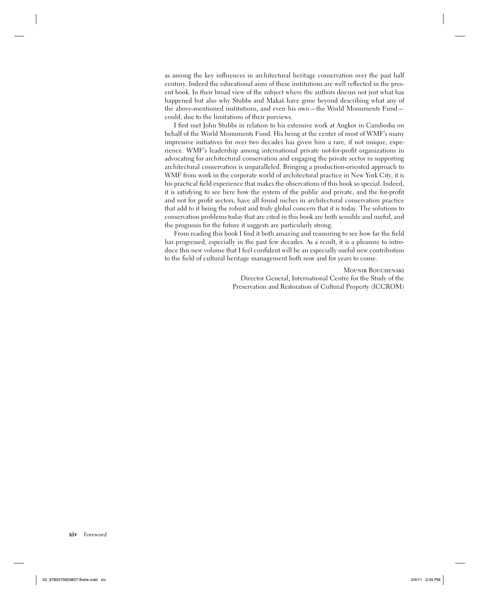as among the key influences in architectural heritage conservation over the past half century. Indeed the educational aims of these institutions are well reflected in the present book. In their broad view of the subject where the authors discuss not just what has happened but also why Stubbs and Makaš have gone beyond describing what any of the above-mentioned institutions, and even his own—the World Monuments Fund could, due to the limitations of their purviews.

I first met John Stubbs in relation to his extensive work at Angkor in Cambodia on behalf of the World Monuments Fund. His being at the center of most of WMF's many impressive initiatives for over two decades has given him a rare, if not unique, experience. WMF's leadership among international private not-for-profit organizations in advocating for architectural conservation and engaging the private sector in supporting architectural conservation is unparalleled. Bringing a production-oriented approach to WMF from work in the corporate world of architectural practice in New York City, it is his practical field experience that makes the observations of this book so special. Indeed, it is satisfying to see here how the system of the public and private, and the for-profit and not for profit sectors, have all found niches in architectural conservation practice that add to it being the robust and truly global concern that it is today. The solutions to conservation problems today that are cited in this book are both sensible and useful, and the prognosis for the future it suggests are particularly strong.

From reading this book I find it both amazing and reassuring to see how far the field has progressed, especially in the past few decades. As a result, it is a pleasure to introduce this new volume that I feel confident will be an especially useful new contribution to the field of cultural heritage management both now and for years to come.

> Mounir Bouchenaki Director General, International Centre for the Study of the Preservation and Restoration of Cultural Property (ICCROM)

**xiv** Foreword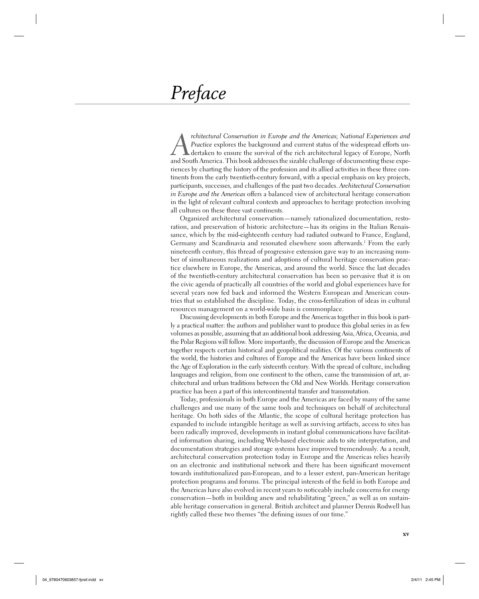## *Preface*

rchitectural Conservation in Europe and the Americas; National Experiences and *Practice* explores the background and current status of the widespread efforts undertaken to ensure the survival of the rich architectural legacy of Europe, North and South America. This book addresses the sizable challenge of documenting these experiences by charting the history of the profession and its allied activities in these three continents from the early twentieth-century forward, with a special emphasis on key projects, participants, successes, and challenges of the past two decades. *Architectural Conservation in Europe and the Americas* offers a balanced view of architectural heritage conservation in the light of relevant cultural contexts and approaches to heritage protection involving all cultures on these three vast continents.

Organized architectural conservation—namely rationalized documentation, restoration, and preservation of historic architecture—has its origins in the Italian Renaissance, which by the mid-eighteenth century had radiated outward to France, England, Germany and Scandinavia and resonated elsewhere soon afterwards.<sup>1</sup> From the early nineteenth century, this thread of progressive extension gave way to an increasing number of simultaneous realizations and adoptions of cultural heritage conservation practice elsewhere in Europe, the Americas, and around the world. Since the last decades of the twentieth-century architectural conservation has been so pervasive that it is on the civic agenda of practically all countries of the world and global experiences have for several years now fed back and informed the Western European and American countries that so established the discipline. Today, the cross-fertilization of ideas in cultural resources management on a world-wide basis is commonplace.

Discussing developments in both Europe and the Americas together in this book is partly a practical matter: the authors and publisher want to produce this global series in as few volumes as possible, assuming that an additional book addressing Asia, Africa, Oceania, and the Polar Regions will follow. More importantly, the discussion of Europe and the Americas together respects certain historical and geopolitical realities. Of the various continents of the world, the histories and cultures of Europe and the Americas have been linked since the Age of Exploration in the early sixteenth century. With the spread of culture, including languages and religion, from one continent to the others, came the transmission of art, architectural and urban traditions between the Old and New Worlds. Heritage conservation practice has been a part of this intercontinental transfer and transmutation.

Today, professionals in both Europe and the Americas are faced by many of the same challenges and use many of the same tools and techniques on behalf of architectural heritage. On both sides of the Atlantic, the scope of cultural heritage protection has expanded to include intangible heritage as well as surviving artifacts, access to sites has been radically improved, developments in instant global communications have facilitated information sharing, including Web-based electronic aids to site interpretation, and documentation strategies and storage systems have improved tremendously. As a result, architectural conservation protection today in Europe and the Americas relies heavily on an electronic and institutional network and there has been significant movement towards institutionalized pan-European, and to a lesser extent, pan-American heritage protection programs and forums. The principal interests of the field in both Europe and the Americas have also evolved in recent years to noticeably include concerns for energy conservation—both in building anew and rehabilitating "green," as well as on sustainable heritage conservation in general. British architect and planner Dennis Rodwell has rightly called these two themes "the defining issues of our time."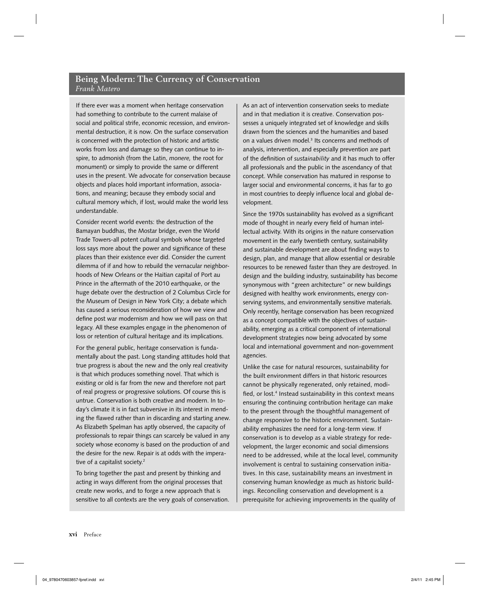#### **Being Modern: The Currency of Conservation** *Frank Matero*

If there ever was a moment when heritage conservation had something to contribute to the current malaise of social and political strife, economic recession, and environmental destruction, it is now. On the surface conservation is concerned with the protection of historic and artistic works from loss and damage so they can continue to inspire, to admonish (from the Latin, *monere,* the root for monument) or simply to provide the same or different uses in the present. We advocate for conservation because objects and places hold important information, associations, and meaning; because they embody social and cultural memory which, if lost, would make the world less understandable.

Consider recent world events: the destruction of the Bamayan buddhas, the Mostar bridge, even the World Trade Towers-all potent cultural symbols whose targeted loss says more about the power and significance of these places than their existence ever did. Consider the current dilemma of if and how to rebuild the vernacular neighborhoods of New Orleans or the Haitian capital of Port au Prince in the aftermath of the 2010 earthquake, or the huge debate over the destruction of 2 Columbus Circle for the Museum of Design in New York City; a debate which has caused a serious reconsideration of how we view and define post war modernism and how we will pass on that legacy. All these examples engage in the phenomenon of loss or retention of cultural heritage and its implications.

For the general public, heritage conservation is fundamentally about the past. Long standing attitudes hold that true progress is about the new and the only real creativity is that which produces something novel. That which is existing or old is far from the new and therefore not part of real progress or progressive solutions. Of course this is untrue. Conservation is both creative and modern. In today's climate it is in fact subversive in its interest in mending the flawed rather than in discarding and starting anew. As Elizabeth Spelman has aptly observed, the capacity of professionals to repair things can scarcely be valued in any society whose economy is based on the production of and the desire for the new. Repair is at odds with the imperative of a capitalist society.2

To bring together the past and present by thinking and acting in ways different from the original processes that create new works, and to forge a new approach that is sensitive to all contexts are the very goals of conservation. As an act of intervention conservation seeks to mediate and in that mediation it is creative. Conservation possesses a uniquely integrated set of knowledge and skills drawn from the sciences and the humanities and based on a values driven model.<sup>3</sup> Its concerns and methods of analysis, intervention, and especially prevention are part of the definition of *sustainability* and it has much to offer all professionals and the public in the ascendancy of that concept. While conservation has matured in response to larger social and environmental concerns, it has far to go in most countries to deeply influence local and global development.

Since the 1970s sustainability has evolved as a significant mode of thought in nearly every field of human intellectual activity. With its origins in the nature conservation movement in the early twentieth century, sustainability and sustainable development are about finding ways to design, plan, and manage that allow essential or desirable resources to be renewed faster than they are destroyed. In design and the building industry, sustainability has become synonymous with "green architecture" or new buildings designed with healthy work environments, energy conserving systems, and environmentally sensitive materials. Only recently, heritage conservation has been recognized as a concept compatible with the objectives of sustainability, emerging as a critical component of international development strategies now being advocated by some local and international government and non-government agencies.

Unlike the case for natural resources, sustainability for the built environment differs in that historic resources cannot be physically regenerated, only retained, modified, or lost.<sup>4</sup> Instead sustainability in this context means ensuring the continuing contribution heritage can make to the present through the thoughtful management of change responsive to the historic environment. Sustainability emphasizes the need for a long-term view. If conservation is to develop as a viable strategy for redevelopment, the larger economic and social dimensions need to be addressed, while at the local level, community involvement is central to sustaining conservation initiatives. In this case, sustainability means an investment in conserving human knowledge as much as historic buildings. Reconciling conservation and development is a prerequisite for achieving improvements in the quality of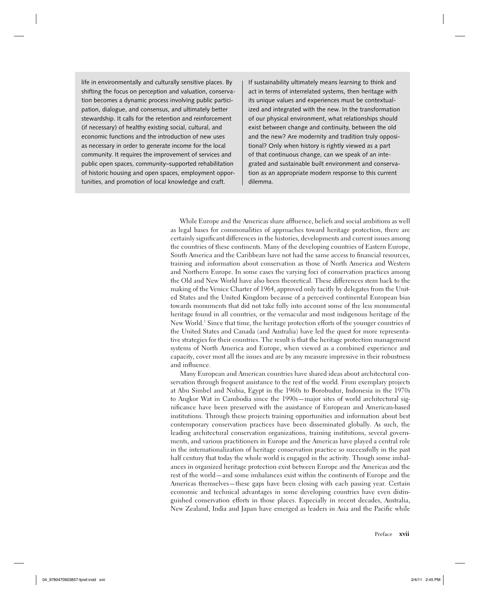life in environmentally and culturally sensitive places. By shifting the focus on perception and valuation, conservation becomes a dynamic process involving public participation, dialogue, and consensus, and ultimately better stewardship. It calls for the retention and reinforcement (if necessary) of healthy existing social, cultural, and economic functions and the introduction of new uses as necessary in order to generate income for the local community. It requires the improvement of services and public open spaces, community–supported rehabilitation of historic housing and open spaces, employment opportunities, and promotion of local knowledge and craft.

If sustainability ultimately means learning to think and act in terms of interrelated systems, then heritage with its unique values and experiences must be contextualized and integrated with the new. In the transformation of our physical environment, what relationships should exist between change and continuity, between the old and the new? Are modernity and tradition truly oppositional? Only when history is rightly viewed as a part of that continuous change, can we speak of an integrated and sustainable built environment and conservation as an appropriate modern response to this current dilemma.

While Europe and the Americas share affluence, beliefs and social ambitions as well as legal bases for commonalities of approaches toward heritage protection, there are certainly significant differences in the histories, developments and current issues among the countries of these continents. Many of the developing countries of Eastern Europe, South America and the Caribbean have not had the same access to financial resources, training and information about conservation as those of North America and Western and Northern Europe. In some cases the varying foci of conservation practices among the Old and New World have also been theoretical. These differences stem back to the making of the Venice Charter of 1964, approved only tacitly by delegates from the United States and the United Kingdom because of a perceived continental European bias towards monuments that did not take fully into account some of the less monumental heritage found in all countries, or the vernacular and most indigenous heritage of the New World.1 Since that time, the heritage protection efforts of the younger countries of the United States and Canada (and Australia) have led the quest for more representative strategies for their countries. The result is that the heritage protection management systems of North America and Europe, when viewed as a combined experience and capacity, cover most all the issues and are by any measure impressive in their robustness and influence.

Many European and American countries have shared ideas about architectural conservation through frequent assistance to the rest of the world. From exemplary projects at Abu Simbel and Nubia, Egypt in the 1960s to Borobudur, Indonesia in the 1970s to Angkor Wat in Cambodia since the 1990s—major sites of world architectural signifi cance have been preserved with the assistance of European and American-based institutions. Through these projects training opportunities and information about best contemporary conservation practices have been disseminated globally. As such, the leading architectural conservation organizations, training institutions, several governments, and various practitioners in Europe and the Americas have played a central role in the internationalization of heritage conservation practice so successfully in the past half century that today the whole world is engaged in the activity. Though some imbalances in organized heritage protection exist between Europe and the Americas and the rest of the world—and some imbalances exist within the continents of Europe and the Americas themselves—these gaps have been closing with each passing year. Certain economic and technical advantages in some developing countries have even distinguished conservation efforts in those places. Especially in recent decades, Australia, New Zealand, India and Japan have emerged as leaders in Asia and the Pacific while

Preface **xvii**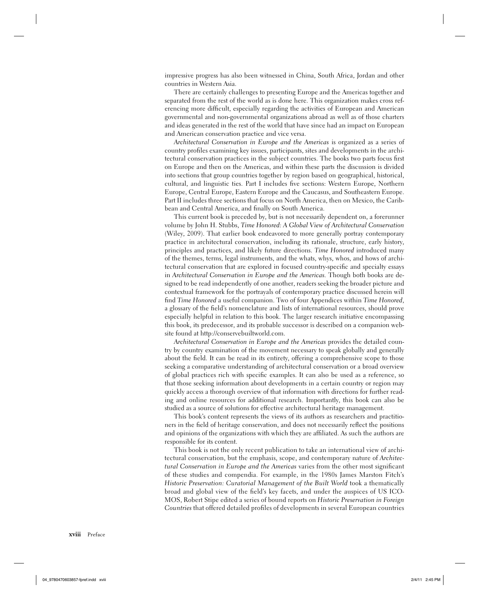impressive progress has also been witnessed in China, South Africa, Jordan and other countries in Western Asia.

There are certainly challenges to presenting Europe and the Americas together and separated from the rest of the world as is done here. This organization makes cross referencing more difficult, especially regarding the activities of European and American governmental and non-governmental organizations abroad as well as of those charters and ideas generated in the rest of the world that have since had an impact on European and American conservation practice and vice versa.

*Architectural Conservation in Europe and the Americas* is organized as a series of country profiles examining key issues, participants, sites and developments in the architectural conservation practices in the subject countries. The books two parts focus first on Europe and then on the Americas, and within these parts the discussion is divided into sections that group countries together by region based on geographical, historical, cultural, and linguistic ties. Part I includes five sections: Western Europe, Northern Europe, Central Europe, Eastern Europe and the Caucasus, and Southeastern Europe. Part II includes three sections that focus on North America, then on Mexico, the Caribbean and Central America, and finally on South America.

This current book is preceded by, but is not necessarily dependent on, a forerunner volume by John H. Stubbs, *Time Honored: A Global View of Architectural Conservation* (Wiley, 2009). That earlier book endeavored to more generally portray contemporary practice in architectural conservation, including its rationale, structure, early history, principles and practices, and likely future directions. *Time Honored* introduced many of the themes, terms, legal instruments, and the whats, whys, whos, and hows of architectural conservation that are explored in focused country-specific and specialty essays in *Architectural Conservation in Europe and the Americas.* Though both books are designed to be read independently of one another, readers seeking the broader picture and contextual framework for the portrayals of contemporary practice discussed herein will find *Time Honored* a useful companion. Two of four Appendices within *Time Honored*, a glossary of the field's nomenclature and lists of international resources, should prove especially helpful in relation to this book. The larger research initiative encompassing this book, its predecessor, and its probable successor is described on a companion website found at http://conservebuiltworld.com.

*Architectural Conservation in Europe and the Americas* provides the detailed country by country examination of the movement necessary to speak globally and generally about the field. It can be read in its entirety, offering a comprehensive scope to those seeking a comparative understanding of architectural conservation or a broad overview of global practices rich with specifi c examples. It can also be used as a reference, so that those seeking information about developments in a certain country or region may quickly access a thorough overview of that information with directions for further reading and online resources for additional research. Importantly, this book can also be studied as a source of solutions for effective architectural heritage management.

This book's content represents the views of its authors as researchers and practitioners in the field of heritage conservation, and does not necessarily reflect the positions and opinions of the organizations with which they are affiliated. As such the authors are responsible for its content.

This book is not the only recent publication to take an international view of architectural conservation, but the emphasis, scope, and contemporary nature of *Architectural Conservation in Europe and the Americas* varies from the other most significant of these studies and compendia. For example, in the 1980s James Marston Fitch's *Historic Preservation: Curatorial Management of the Built World* took a thematically broad and global view of the field's key facets, and under the auspices of US ICO-MOS, Robert Stipe edited a series of bound reports on *Historic Preservation in Foreign Countries* that offered detailed profiles of developments in several European countries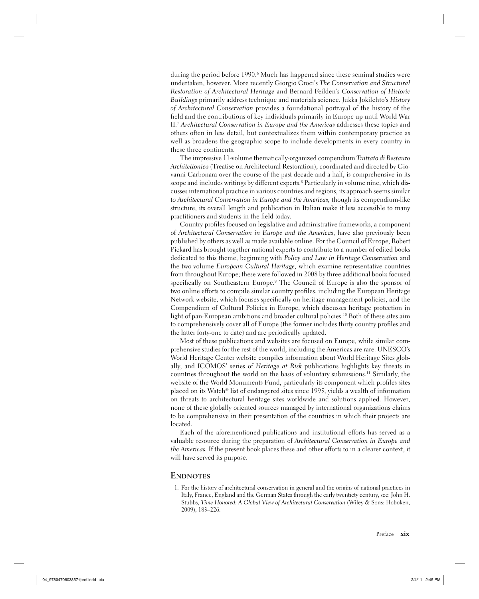during the period before 1990.<sup>6</sup> Much has happened since these seminal studies were undertaken, however. More recently Giorgio Croci's *The Conservation and Structural Restoration of Architectural Heritage* and Bernard Feilden's *Conservation of Historic Buildings* primarily address technique and materials science. Jukka Jokilehto's *History of Architectural Conservation* provides a foundational portrayal of the history of the field and the contributions of key individuals primarily in Europe up until World War II.7 *Architectural Conservation in Europe and the Americas* addresses these topics and others often in less detail, but contextualizes them within contemporary practice as well as broadens the geographic scope to include developments in every country in these three continents.

The impressive 11-volume thematically-organized compendium *Trattato di Restauro Architettonico* (Treatise on Architectural Restoration), coordinated and directed by Giovanni Carbonara over the course of the past decade and a half, is comprehensive in its scope and includes writings by different experts.8 Particularly in volume nine, which discusses international practice in various countries and regions, its approach seems similar to *Architectural Conservation in Europe and the Americas,* though its compendium-like structure, its overall length and publication in Italian make it less accessible to many practitioners and students in the field today.

Country profiles focused on legislative and administrative frameworks, a component of *Architectural Conservation in Europe and the Americas*, have also previously been published by others as well as made available online. For the Council of Europe, Robert Pickard has brought together national experts to contribute to a number of edited books dedicated to this theme, beginning with *Policy and Law in Heritage Conservation* and the two-volume *European Cultural Heritage,* which examine representative countries from throughout Europe; these were followed in 2008 by three additional books focused specifically on Southeastern Europe.<sup>9</sup> The Council of Europe is also the sponsor of two online efforts to compile similar country profiles, including the European Heritage Network website, which focuses specifically on heritage management policies, and the Compendium of Cultural Policies in Europe, which discusses heritage protection in light of pan-European ambitions and broader cultural policies.<sup>10</sup> Both of these sites aim to comprehensively cover all of Europe (the former includes thirty country profiles and the latter forty-one to date) and are periodically updated.

Most of these publications and websites are focused on Europe, while similar comprehensive studies for the rest of the world, including the Americas are rare. UNESCO's World Heritage Center website compiles information about World Heritage Sites globally, and ICOMOS' series of *Heritage at Risk* publications highlights key threats in countries throughout the world on the basis of voluntary submissions.11 Similarly, the website of the World Monuments Fund, particularly its component which profiles sites placed on its Watch® list of endangered sites since 1995, yields a wealth of information on threats to architectural heritage sites worldwide and solutions applied. However, none of these globally oriented sources managed by international organizations claims to be comprehensive in their presentation of the countries in which their projects are located.

Each of the aforementioned publications and institutional efforts has served as a valuable resource during the preparation of *Architectural Conservation in Europe and the Americas.* If the present book places these and other efforts to in a clearer context, it will have served its purpose.

#### **ENDNOTES**

 1. For the history of architectural conservation in general and the origins of national practices in Italy, France, England and the German States through the early twentiety century, see: John H. Stubbs, *Time Honored: A Global View of Architectural Conservation* (Wiley & Sons: Hoboken, 2009), 183–226.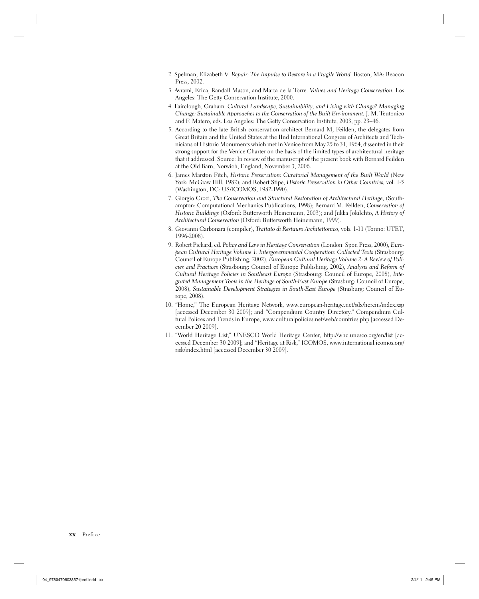- 2. Spelman, Elizabeth V. *Repair: The Impulse to Restore in a Fragile World.* Boston, MA: Beacon Press, 2002.
- 3. Avrami, Erica, Randall Mason, and Marta de la Torre. *Values and Heritage Conservation.* Los Angeles: The Getty Conservation Institute, 2000.
- 4. Fairclough, Graham. *Cultural Landscape, Sustainability, and Living with Change? Managing Change: Sustainable Approaches to the Conservation of the Built Environment.* J. M. Teutonico and F. Matero, eds. Los Angeles: The Getty Conservation Institute, 2003, pp. 23–46.
- 5. According to the late British conservation architect Bernard M, Feilden, the delegates from Great Britain and the United States at the IInd International Congress of Architects and Technicians of Historic Monuments which met in Venice from May 25 to 31, 1964, dissented in their strong support for the Venice Charter on the basis of the limited types of architectural heritage that it addressed. Source: In review of the manuscript of the present book with Bernard Feilden at the Old Barn, Norwich, England, November 3, 2006.
- 6. James Marston Fitch, *Historic Preservation: Curatorial Management of the Built World* (New York: McGraw Hill, 1982); and Robert Stipe, *Historic Preservation in Other Countries,* vol. 1-5 (Washington, DC: US/ICOMOS, 1982-1990).
- 7. Giorgio Croci, *The Conservation and Structural Restoration of Architectural Heritage*, (Southampton: Computational Mechanics Publications, 1998); Bernard M. Feilden, *Conservation of Historic Buildings* (Oxford: Butterworth Heinemann, 2003); and Jukka Jokilehto, *A History of Architectural Conservation* (Oxford: Butterworth Heinemann, 1999).
- 8. Giovanni Carbonara (compiler), *Trattato di Restauro Architettonico*, vols. 1-11 (Torino: UTET, 1996-2008).
- 9. Robert Pickard, ed. *Policy and Law in Heritage Conservation* (London: Spon Press, 2000), *European Cultural Heritage Volume 1: Intergovernmental Cooperation: Collected Texts* (Strasbourg: Council of Europe Publishing, 2002), *European Cultural Heritage Volume 2: A Review of Policies and Practices* (Strasbourg: Council of Europe Publishing, 2002), *Analysis and Reform of Cultural Heritage Policies in Southeast Europe* (Strasbourg: Council of Europe, 2008), *Integrated Management Tools in the Heritage of South-East Europe* (Strasburg: Council of Europe, 2008), *Sustainable Development Strategies in South-East Europe* (Strasburg: Council of Europe, 2008).
- 10. "Home," The European Heritage Network, www.european-heritage.net/sdx/herein/index.xsp [accessed December 30 2009]; and "Compendium Country Directory," Compendium Cultural Polices and Trends in Europe, www.culturalpolicies.net/web/countries.php [accessed December 20 2009].
- 11. "World Heritage List," UNESCO World Heritage Center, http://whc.unesco.org/en/list [accessed December 30 2009]; and "Heritage at Risk," ICOMOS, www.international.icomos.org/ risk/index.html [accessed December 30 2009].

**xx** Preface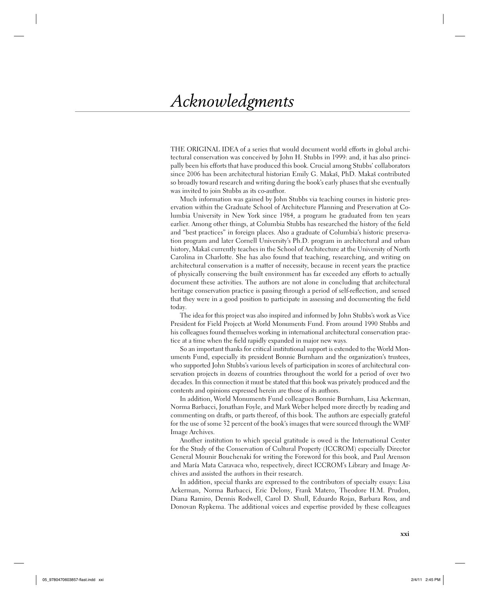## *Acknowledgments*

THE ORIGINAL IDEA of a series that would document world efforts in global architectural conservation was conceived by John H. Stubbs in 1999: and, it has also principally been his efforts that have produced this book. Crucial among Stubbs' collaborators since 2006 has been architectural historian Emily G. Makaš, PhD. Makaš contributed so broadly toward research and writing during the book's early phases that she eventually was invited to join Stubbs as its co-author.

Much information was gained by John Stubbs via teaching courses in historic preservation within the Graduate School of Architecture Planning and Preservation at Columbia University in New York since 1984, a program he graduated from ten years earlier. Among other things, at Columbia Stubbs has researched the history of the field and "best practices" in foreign places. Also a graduate of Columbia's historic preservation program and later Cornell University's Ph.D. program in architectural and urban history, Makaš currently teaches in the School of Architecture at the University of North Carolina in Charlotte. She has also found that teaching, researching, and writing on architectural conservation is a matter of necessity, because in recent years the practice of physically conserving the built environment has far exceeded any efforts to actually document these activities. The authors are not alone in concluding that architectural heritage conservation practice is passing through a period of self-reflection, and sensed that they were in a good position to participate in assessing and documenting the field today.

The idea for this project was also inspired and informed by John Stubbs's work as Vice President for Field Projects at World Monuments Fund. From around 1990 Stubbs and his colleagues found themselves working in international architectural conservation practice at a time when the field rapidly expanded in major new ways.

So an important thanks for critical institutional support is extended to the World Monuments Fund, especially its president Bonnie Burnham and the organization's trustees, who supported John Stubbs's various levels of participation in scores of architectural conservation projects in dozens of countries throughout the world for a period of over two decades. In this connection it must be stated that this book was privately produced and the contents and opinions expressed herein are those of its authors.

In addition, World Monuments Fund colleagues Bonnie Burnham, Lisa Ackerman, Norma Barbacci, Jonathan Foyle, and Mark Weber helped more directly by reading and commenting on drafts, or parts thereof, of this book. The authors are especially grateful for the use of some 32 percent of the book's images that were sourced through the WMF Image Archives.

Another institution to which special gratitude is owed is the International Center for the Study of the Conservation of Cultural Property (ICCROM) especially Director General Mounir Bouchenaki for writing the Foreword for this book, and Paul Arenson and María Mata Caravaca who, respectively, direct ICCROM's Library and Image Archives and assisted the authors in their research.

In addition, special thanks are expressed to the contributors of specialty essays: Lisa Ackerman, Norma Barbacci, Eric Delony, Frank Matero, Theodore H.M. Prudon, Diana Ramiro, Dennis Rodwell, Carol D. Shull, Eduardo Rojas, Barbara Ross, and Donovan Rypkema. The additional voices and expertise provided by these colleagues